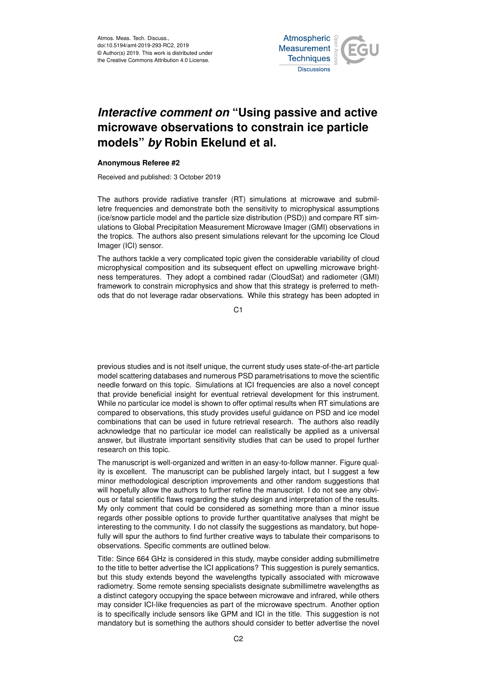

## *Interactive comment on* **"Using passive and active microwave observations to constrain ice particle models"** *by* **Robin Ekelund et al.**

## **Anonymous Referee #2**

Received and published: 3 October 2019

The authors provide radiative transfer (RT) simulations at microwave and submilletre frequencies and demonstrate both the sensitivity to microphysical assumptions (ice/snow particle model and the particle size distribution (PSD)) and compare RT simulations to Global Precipitation Measurement Microwave Imager (GMI) observations in the tropics. The authors also present simulations relevant for the upcoming Ice Cloud Imager (ICI) sensor.

The authors tackle a very complicated topic given the considerable variability of cloud microphysical composition and its subsequent effect on upwelling microwave brightness temperatures. They adopt a combined radar (CloudSat) and radiometer (GMI) framework to constrain microphysics and show that this strategy is preferred to methods that do not leverage radar observations. While this strategy has been adopted in

C<sub>1</sub>

previous studies and is not itself unique, the current study uses state-of-the-art particle model scattering databases and numerous PSD parametrisations to move the scientific needle forward on this topic. Simulations at ICI frequencies are also a novel concept that provide beneficial insight for eventual retrieval development for this instrument. While no particular ice model is shown to offer optimal results when RT simulations are compared to observations, this study provides useful guidance on PSD and ice model combinations that can be used in future retrieval research. The authors also readily acknowledge that no particular ice model can realistically be applied as a universal answer, but illustrate important sensitivity studies that can be used to propel further research on this topic.

The manuscript is well-organized and written in an easy-to-follow manner. Figure quality is excellent. The manuscript can be published largely intact, but I suggest a few minor methodological description improvements and other random suggestions that will hopefully allow the authors to further refine the manuscript. I do not see any obvious or fatal scientific flaws regarding the study design and interpretation of the results. My only comment that could be considered as something more than a minor issue regards other possible options to provide further quantitative analyses that might be interesting to the community. I do not classify the suggestions as mandatory, but hopefully will spur the authors to find further creative ways to tabulate their comparisons to observations. Specific comments are outlined below.

Title: Since 664 GHz is considered in this study, maybe consider adding submillimetre to the title to better advertise the ICI applications? This suggestion is purely semantics, but this study extends beyond the wavelengths typically associated with microwave radiometry. Some remote sensing specialists designate submillimetre wavelengths as a distinct category occupying the space between microwave and infrared, while others may consider ICI-like frequencies as part of the microwave spectrum. Another option is to specifically include sensors like GPM and ICI in the title. This suggestion is not mandatory but is something the authors should consider to better advertise the novel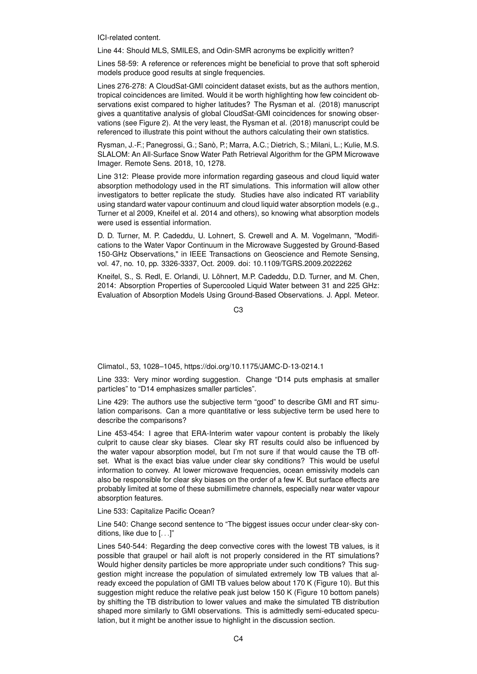ICI-related content.

Line 44: Should MLS, SMILES, and Odin-SMR acronyms be explicitly written?

Lines 58-59: A reference or references might be beneficial to prove that soft spheroid models produce good results at single frequencies.

Lines 276-278: A CloudSat-GMI coincident dataset exists, but as the authors mention, tropical coincidences are limited. Would it be worth highlighting how few coincident observations exist compared to higher latitudes? The Rysman et al. (2018) manuscript gives a quantitative analysis of global CloudSat-GMI coincidences for snowing observations (see Figure 2). At the very least, the Rysman et al. (2018) manuscript could be referenced to illustrate this point without the authors calculating their own statistics.

Rysman, J.-F.; Panegrossi, G.; Sanò, P.; Marra, A.C.; Dietrich, S.; Milani, L.; Kulie, M.S. SLALOM: An All-Surface Snow Water Path Retrieval Algorithm for the GPM Microwave Imager. Remote Sens. 2018, 10, 1278.

Line 312: Please provide more information regarding gaseous and cloud liquid water absorption methodology used in the RT simulations. This information will allow other investigators to better replicate the study. Studies have also indicated RT variability using standard water vapour continuum and cloud liquid water absorption models (e.g., Turner et al 2009, Kneifel et al. 2014 and others), so knowing what absorption models were used is essential information.

D. D. Turner, M. P. Cadeddu, U. Lohnert, S. Crewell and A. M. Vogelmann, "Modifications to the Water Vapor Continuum in the Microwave Suggested by Ground-Based 150-GHz Observations," in IEEE Transactions on Geoscience and Remote Sensing, vol. 47, no. 10, pp. 3326-3337, Oct. 2009. doi: 10.1109/TGRS.2009.2022262

Kneifel, S., S. Redl, E. Orlandi, U. Löhnert, M.P. Cadeddu, D.D. Turner, and M. Chen, 2014: Absorption Properties of Supercooled Liquid Water between 31 and 225 GHz: Evaluation of Absorption Models Using Ground-Based Observations. J. Appl. Meteor.

C3

Climatol., 53, 1028–1045, https://doi.org/10.1175/JAMC-D-13-0214.1

Line 333: Very minor wording suggestion. Change "D14 puts emphasis at smaller particles" to "D14 emphasizes smaller particles".

Line 429: The authors use the subjective term "good" to describe GMI and RT simulation comparisons. Can a more quantitative or less subjective term be used here to describe the comparisons?

Line 453-454: I agree that ERA-Interim water vapour content is probably the likely culprit to cause clear sky biases. Clear sky RT results could also be influenced by the water vapour absorption model, but I'm not sure if that would cause the TB offset. What is the exact bias value under clear sky conditions? This would be useful information to convey. At lower microwave frequencies, ocean emissivity models can also be responsible for clear sky biases on the order of a few K. But surface effects are probably limited at some of these submillimetre channels, especially near water vapour absorption features.

Line 533: Capitalize Pacific Ocean?

Line 540: Change second sentence to "The biggest issues occur under clear-sky conditions, like due to [. . .]"

Lines 540-544: Regarding the deep convective cores with the lowest TB values, is it possible that graupel or hail aloft is not properly considered in the RT simulations? Would higher density particles be more appropriate under such conditions? This suggestion might increase the population of simulated extremely low TB values that already exceed the population of GMI TB values below about 170 K (Figure 10). But this suggestion might reduce the relative peak just below 150 K (Figure 10 bottom panels) by shifting the TB distribution to lower values and make the simulated TB distribution shaped more similarly to GMI observations. This is admittedly semi-educated speculation, but it might be another issue to highlight in the discussion section.